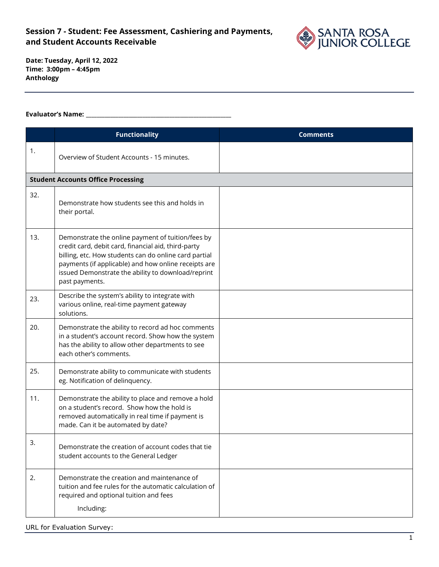

**Date: Tuesday, April 12, 2022 Time: 3:00pm – 4:45pm Anthology**

#### **Evaluator's Name: \_\_\_\_\_\_\_\_\_\_\_\_\_\_\_\_\_\_\_\_\_\_\_\_\_\_\_\_\_\_\_\_\_\_\_\_\_\_\_\_\_\_\_\_\_\_\_\_\_\_\_\_\_\_**

|     | <b>Functionality</b>                                                                                                                                                                                                                                                                              | <b>Comments</b> |
|-----|---------------------------------------------------------------------------------------------------------------------------------------------------------------------------------------------------------------------------------------------------------------------------------------------------|-----------------|
| 1.  | Overview of Student Accounts - 15 minutes.                                                                                                                                                                                                                                                        |                 |
|     | <b>Student Accounts Office Processing</b>                                                                                                                                                                                                                                                         |                 |
| 32. | Demonstrate how students see this and holds in<br>their portal.                                                                                                                                                                                                                                   |                 |
| 13. | Demonstrate the online payment of tuition/fees by<br>credit card, debit card, financial aid, third-party<br>billing, etc. How students can do online card partial<br>payments (if applicable) and how online receipts are<br>issued Demonstrate the ability to download/reprint<br>past payments. |                 |
| 23. | Describe the system's ability to integrate with<br>various online, real-time payment gateway<br>solutions.                                                                                                                                                                                        |                 |
| 20. | Demonstrate the ability to record ad hoc comments<br>in a student's account record. Show how the system<br>has the ability to allow other departments to see<br>each other's comments.                                                                                                            |                 |
| 25. | Demonstrate ability to communicate with students<br>eg. Notification of delinquency.                                                                                                                                                                                                              |                 |
| 11. | Demonstrate the ability to place and remove a hold<br>on a student's record. Show how the hold is<br>removed automatically in real time if payment is<br>made. Can it be automated by date?                                                                                                       |                 |
| 3.  | Demonstrate the creation of account codes that tie<br>student accounts to the General Ledger                                                                                                                                                                                                      |                 |
| 2.  | Demonstrate the creation and maintenance of<br>tuition and fee rules for the automatic calculation of<br>required and optional tuition and fees<br>Including:                                                                                                                                     |                 |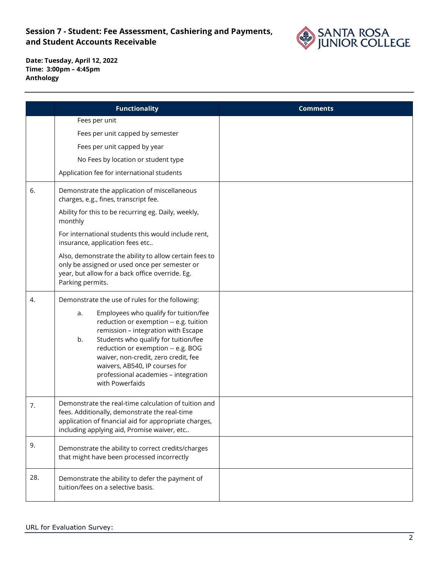

|     | <b>Functionality</b>                                                                                                                                                                                                                                                                                                                                                                                     | <b>Comments</b> |
|-----|----------------------------------------------------------------------------------------------------------------------------------------------------------------------------------------------------------------------------------------------------------------------------------------------------------------------------------------------------------------------------------------------------------|-----------------|
|     | Fees per unit                                                                                                                                                                                                                                                                                                                                                                                            |                 |
|     | Fees per unit capped by semester                                                                                                                                                                                                                                                                                                                                                                         |                 |
|     | Fees per unit capped by year                                                                                                                                                                                                                                                                                                                                                                             |                 |
|     | No Fees by location or student type                                                                                                                                                                                                                                                                                                                                                                      |                 |
|     | Application fee for international students                                                                                                                                                                                                                                                                                                                                                               |                 |
| 6.  | Demonstrate the application of miscellaneous<br>charges, e.g., fines, transcript fee.                                                                                                                                                                                                                                                                                                                    |                 |
|     | Ability for this to be recurring eg. Daily, weekly,<br>monthly                                                                                                                                                                                                                                                                                                                                           |                 |
|     | For international students this would include rent,<br>insurance, application fees etc                                                                                                                                                                                                                                                                                                                   |                 |
|     | Also, demonstrate the ability to allow certain fees to<br>only be assigned or used once per semester or<br>year, but allow for a back office override. Eg.<br>Parking permits.                                                                                                                                                                                                                           |                 |
| 4.  | Demonstrate the use of rules for the following:<br>Employees who qualify for tuition/fee<br>a.<br>reduction or exemption -- e.g. tuition<br>remission - integration with Escape<br>Students who qualify for tuition/fee<br>b.<br>reduction or exemption -- e.g. BOG<br>waiver, non-credit, zero credit, fee<br>waivers, AB540, IP courses for<br>professional academies - integration<br>with Powerfaids |                 |
| 7.  | Demonstrate the real-time calculation of tuition and<br>fees. Additionally, demonstrate the real-time<br>application of financial aid for appropriate charges,<br>including applying aid, Promise waiver, etc                                                                                                                                                                                            |                 |
| 9.  | Demonstrate the ability to correct credits/charges<br>that might have been processed incorrectly                                                                                                                                                                                                                                                                                                         |                 |
| 28. | Demonstrate the ability to defer the payment of<br>tuition/fees on a selective basis.                                                                                                                                                                                                                                                                                                                    |                 |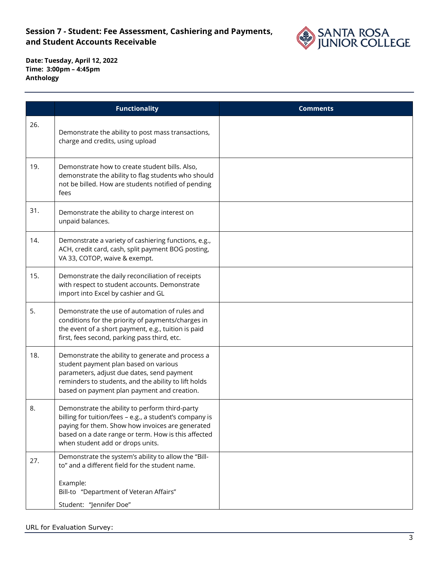

|     | <b>Functionality</b>                                                                                                                                                                                                                                     | <b>Comments</b> |
|-----|----------------------------------------------------------------------------------------------------------------------------------------------------------------------------------------------------------------------------------------------------------|-----------------|
| 26. | Demonstrate the ability to post mass transactions,<br>charge and credits, using upload                                                                                                                                                                   |                 |
| 19. | Demonstrate how to create student bills. Also,<br>demonstrate the ability to flag students who should<br>not be billed. How are students notified of pending<br>fees                                                                                     |                 |
| 31. | Demonstrate the ability to charge interest on<br>unpaid balances.                                                                                                                                                                                        |                 |
| 14. | Demonstrate a variety of cashiering functions, e.g.,<br>ACH, credit card, cash, split payment BOG posting,<br>VA 33, COTOP, waive & exempt.                                                                                                              |                 |
| 15. | Demonstrate the daily reconciliation of receipts<br>with respect to student accounts. Demonstrate<br>import into Excel by cashier and GL                                                                                                                 |                 |
| 5.  | Demonstrate the use of automation of rules and<br>conditions for the priority of payments/charges in<br>the event of a short payment, e.g., tuition is paid<br>first, fees second, parking pass third, etc.                                              |                 |
| 18. | Demonstrate the ability to generate and process a<br>student payment plan based on various<br>parameters, adjust due dates, send payment<br>reminders to students, and the ability to lift holds<br>based on payment plan payment and creation.          |                 |
| 8.  | Demonstrate the ability to perform third-party<br>billing for tuition/fees - e.g., a student's company is<br>paying for them. Show how invoices are generated<br>based on a date range or term. How is this affected<br>when student add or drops units. |                 |
| 27. | Demonstrate the system's ability to allow the "Bill-<br>to" and a different field for the student name.<br>Example:<br>Bill-to "Department of Veteran Affairs"<br>Student: "Jennifer Doe"                                                                |                 |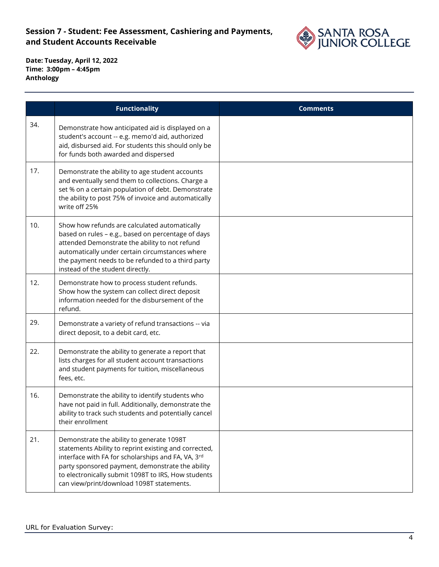

|     | <b>Functionality</b>                                                                                                                                                                                                                                                                                             | <b>Comments</b> |
|-----|------------------------------------------------------------------------------------------------------------------------------------------------------------------------------------------------------------------------------------------------------------------------------------------------------------------|-----------------|
| 34. | Demonstrate how anticipated aid is displayed on a<br>student's account -- e.g. memo'd aid, authorized<br>aid, disbursed aid. For students this should only be<br>for funds both awarded and dispersed                                                                                                            |                 |
| 17. | Demonstrate the ability to age student accounts<br>and eventually send them to collections. Charge a<br>set % on a certain population of debt. Demonstrate<br>the ability to post 75% of invoice and automatically<br>write off 25%                                                                              |                 |
| 10. | Show how refunds are calculated automatically<br>based on rules - e.g., based on percentage of days<br>attended Demonstrate the ability to not refund<br>automatically under certain circumstances where<br>the payment needs to be refunded to a third party<br>instead of the student directly.                |                 |
| 12. | Demonstrate how to process student refunds.<br>Show how the system can collect direct deposit<br>information needed for the disbursement of the<br>refund.                                                                                                                                                       |                 |
| 29. | Demonstrate a variety of refund transactions -- via<br>direct deposit, to a debit card, etc.                                                                                                                                                                                                                     |                 |
| 22. | Demonstrate the ability to generate a report that<br>lists charges for all student account transactions<br>and student payments for tuition, miscellaneous<br>fees, etc.                                                                                                                                         |                 |
| 16. | Demonstrate the ability to identify students who<br>have not paid in full. Additionally, demonstrate the<br>ability to track such students and potentially cancel<br>their enrollment                                                                                                                            |                 |
| 21. | Demonstrate the ability to generate 1098T<br>statements Ability to reprint existing and corrected,<br>interface with FA for scholarships and FA, VA, 3rd<br>party sponsored payment, demonstrate the ability<br>to electronically submit 1098T to IRS, How students<br>can view/print/download 1098T statements. |                 |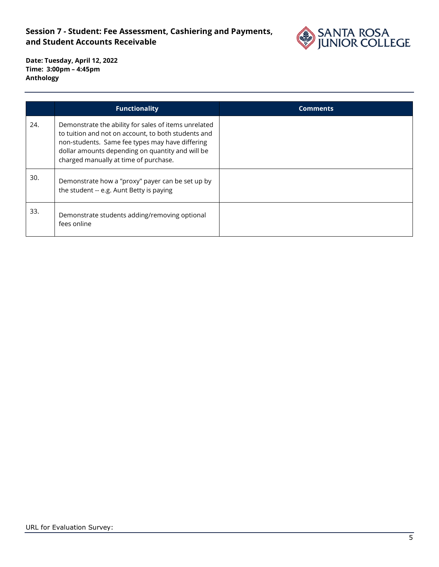

|     | <b>Functionality</b>                                                                                                                                                                                                                                        | <b>Comments</b> |
|-----|-------------------------------------------------------------------------------------------------------------------------------------------------------------------------------------------------------------------------------------------------------------|-----------------|
| 24. | Demonstrate the ability for sales of items unrelated<br>to tuition and not on account, to both students and<br>non-students. Same fee types may have differing<br>dollar amounts depending on quantity and will be<br>charged manually at time of purchase. |                 |
| 30. | Demonstrate how a "proxy" payer can be set up by<br>the student -- e.g. Aunt Betty is paying                                                                                                                                                                |                 |
| 33. | Demonstrate students adding/removing optional<br>fees online                                                                                                                                                                                                |                 |